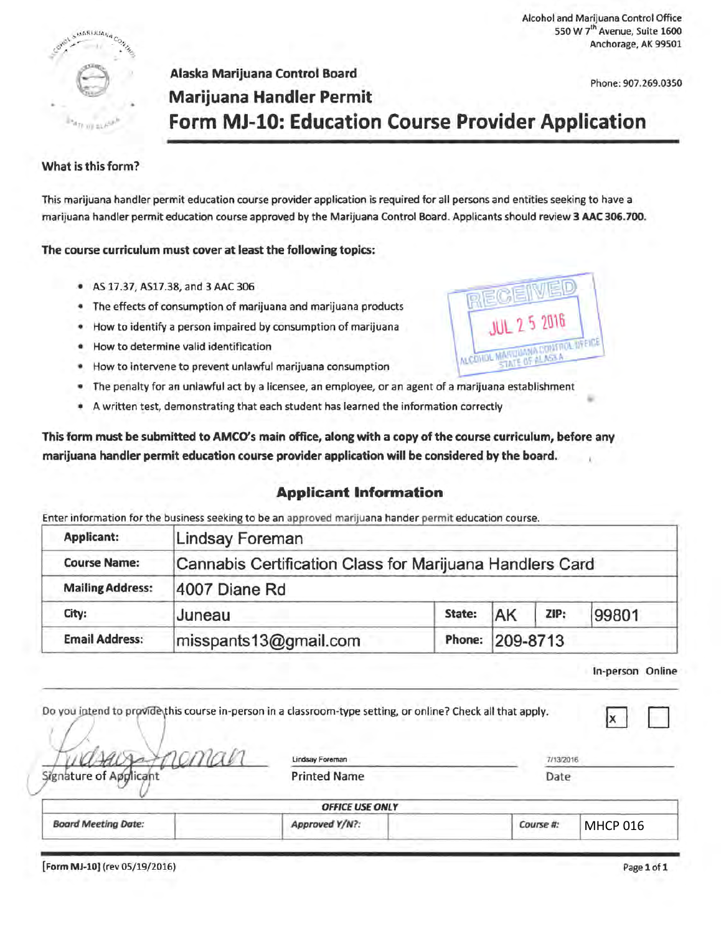Alcohol and Marijuana Control Office 550 W 7<sup>th</sup> Avenue, Suite 1600 Anchorage, AK 99501

Phone: 907.269.0350

# Alaska Marijuana Control Board **Marijuana Handler Permit Form MJ-10: Education Course Provider Application**

#### What is this form?

 $(1681302)$ 

This marijuana handler permit education course provider application is required for all persons and entities seeking to have a marijuana handler permit education course approved by the Marijuana Control Board. Applicants should review 3 AAC 306.700.

The course curriculum must cover at least the following topics:

- AS 17.37, AS17.38, and 3 AAC 306
- The effects of consumption of marijuana and marijuana products
- How to identify a person impaired by consumption of marijuana
- How to determine valid identification
- How to intervene to prevent unlawful marijuana consumption
- The penalty for an unlawful act by a licensee, an employee, or an agent of a marijuana establishment
- A written test, demonstrating that each student has learned the information correctly

This form must be submitted to AMCO's main office, along with a copy of the course curriculum, before any marijuana handler permit education course provider application will be considered by the board.

#### **Applicant Information**

Enter information for the business seeking to be an approved marijuana hander permit education course.

| <b>Applicant:</b>       | Lindsay Foreman                                          |        |          |      |       |  |
|-------------------------|----------------------------------------------------------|--------|----------|------|-------|--|
| <b>Course Name:</b>     | Cannabis Certification Class for Marijuana Handlers Card |        |          |      |       |  |
| <b>Mailing Address:</b> | 4007 Diane Rd                                            |        |          |      |       |  |
| City:                   | Juneau                                                   | State: | AK       | ZIP: | 99801 |  |
| <b>Email Address:</b>   | misspants13@gmail.com                                    | Phone: | 209-8713 |      |       |  |

In-person Online

|                            | Do you intend to provide this course in-person in a classroom-type setting, or online? Check all that apply. |           |                 |  |
|----------------------------|--------------------------------------------------------------------------------------------------------------|-----------|-----------------|--|
|                            | Lindsay Foreman                                                                                              | 7/13/2016 |                 |  |
| Signature of Applicant     | <b>Printed Name</b>                                                                                          | Date      |                 |  |
|                            | <b>OFFICE USE ONLY</b>                                                                                       |           |                 |  |
| <b>Board Meeting Date:</b> | Approved Y/N?:                                                                                               | Course #: | <b>MHCP 016</b> |  |

[Form MJ-10) (rev 05/19/2016) Page 1of1

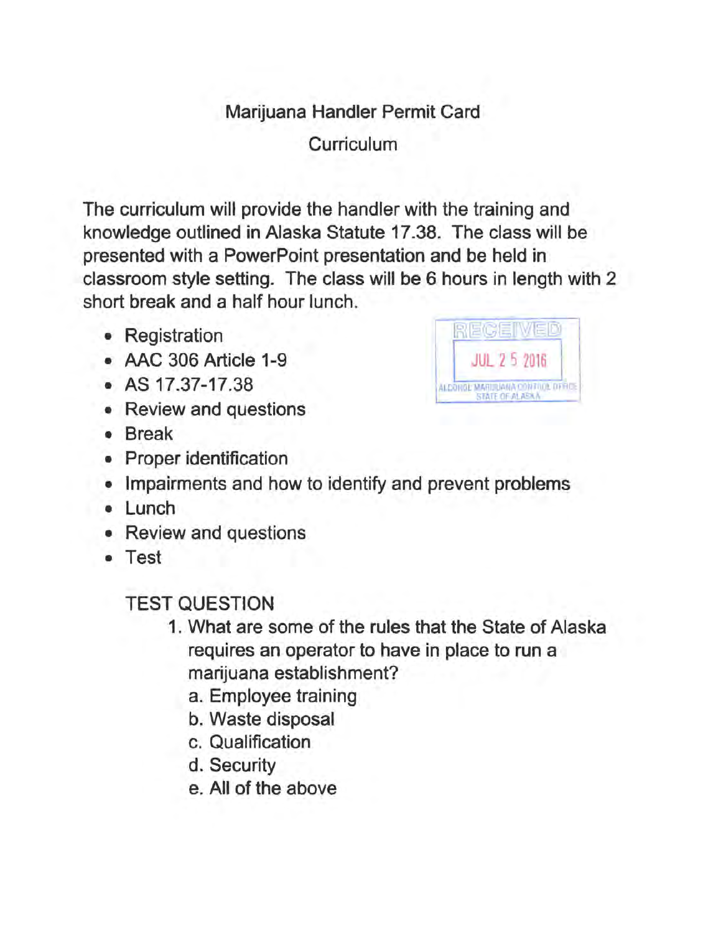## Marijuana Handler Permit Card

**Curriculum** 

The curriculum will provide the handler with the training and knowledge outlined in Alaska Statute 17 .38. The class will be presented with a PowerPoint presentation and be held in classroom style setting. The class will be 6 hours in length with 2 short break and a half hour lunch.

- Registration
- AAC 306 Article 1-9
- AS 17.37-17.38
- Review and questions
- Break
- Proper identification



- Impairments and how to identify and prevent problems
- Lunch
- Review and questions
- Test

## TEST QUESTION

- 1. What are some of the rules that the State of Alaska requires an operator to have in place to run a marijuana establishment?
	- a. Employee training
	- b. Waste disposal
	- c. Qualification
	- d. Security
	- e. All of the above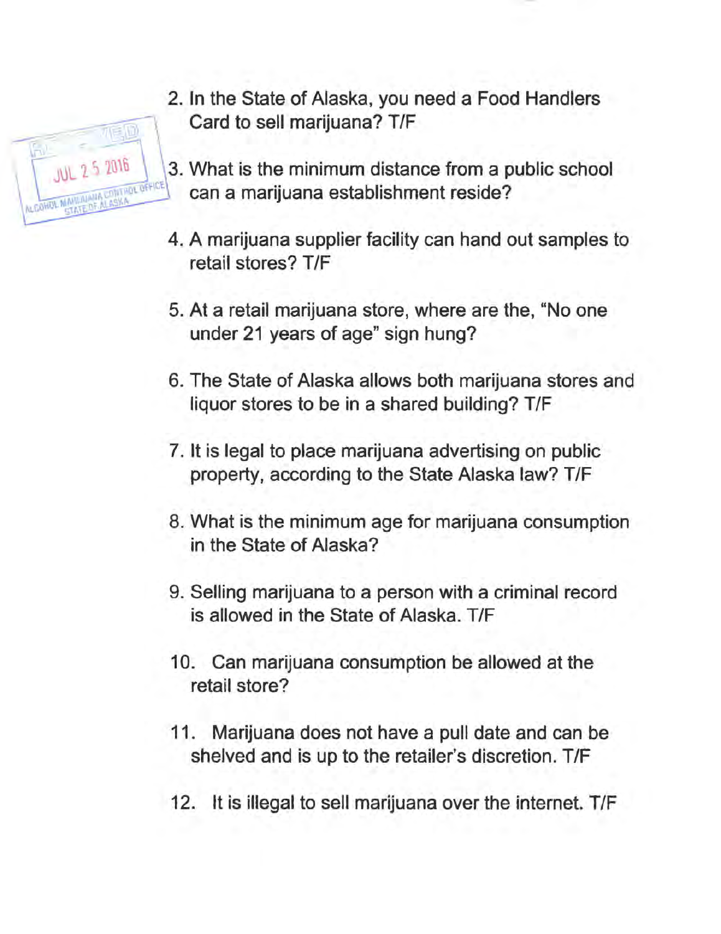2. In the State of Alaska, you need a Food Handlers Card to sell marijuana? T/F

万尾回

**JUL 2 5 2016** 

- 3. What is the minimum distance from a public school can a marijuana establishment reside?
- 4. A marijuana supplier facility can hand out samples to retail stores? T/F
- 5. At a retail marijuana store, where are the, "No one under 21 years of age" sign hung?
- 6. The State of Alaska allows both marijuana stores and liquor stores to be in a shared building? T/F
- 7. It is legal to place marijuana advertising on public property, according to the State Alaska law? T/F
- 8. What is the minimum age for marijuana consumption in the State of Alaska?
- 9. Selling marijuana to a person with a criminal record is allowed in the State of Alaska. T/F
- 10. Can marijuana consumption be allowed at the retail store?
- 11. Marijuana does not have a pull date and can be shelved and is up to the retailer's discretion. T/F
- 12. It is illegal to sell marijuana over the internet. T/F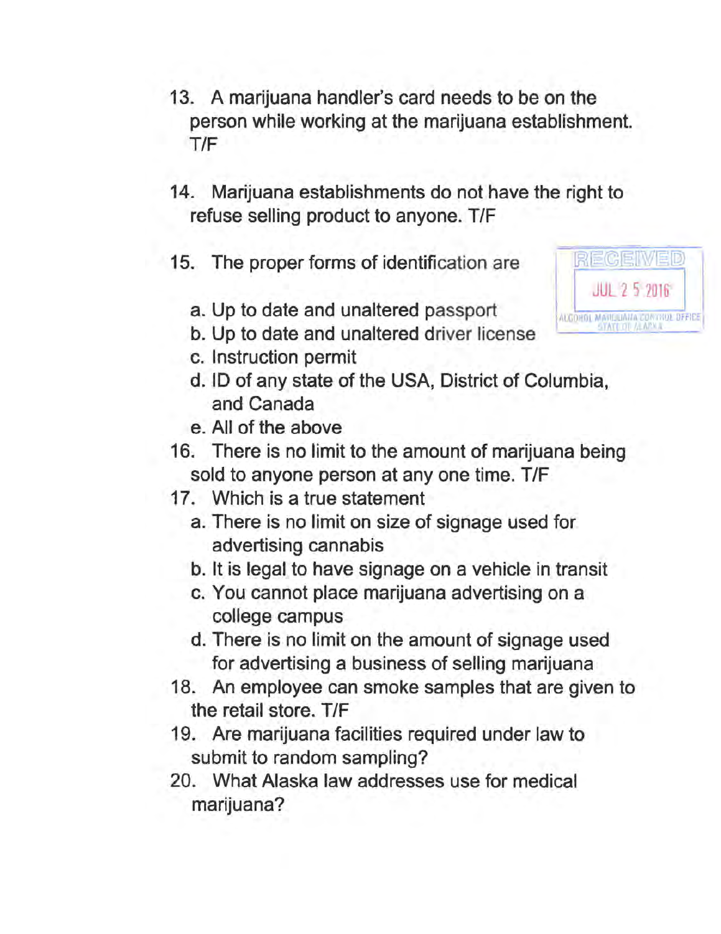- 13. A marijuana handler's card needs to be on the person while working at the marijuana establishment. T/F
- 14. Marijuana establishments do not have the right to refuse selling product to anyone. T/F
- 15. The proper forms of identification are
	- a. Up to date and unaltered passport
	- b. Up to date and unaltered driver license
	- c. Instruction permit
	- d. ID of any state of the USA, District of Columbia, and Canada
	- e. All of the above
- 16. There is no limit to the amount of marijuana being sold to anyone person at any one time. T/F
- 17. Which is a true statement
	- a. There is no limit on size of signage used for advertising cannabis
	- b. It is legal to have signage on a vehicle in transit
	- c. You cannot place marijuana advertising on a college campus
	- d. There is no limit on the amount of signage used for advertising a business of selling marijuana
- 18. An employee can smoke samples that are given to the retail store. T/F
- 19. Are marijuana facilities required under law to submit to random sampling?
- 20. What Alaska law addresses use for medical marijuana?

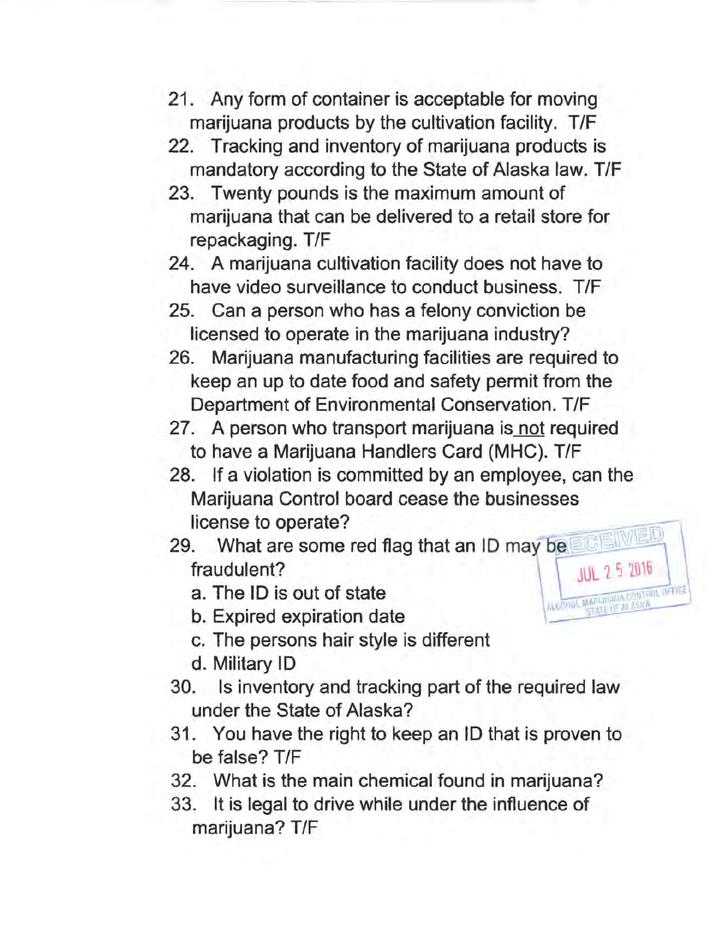- 21. Any form of container is acceptable for moving marijuana products by the cultivation facility. T/F
- 22. Tracking and inventory of marijuana products is mandatory according to the State of Alaska law. T/F
- 23. Twenty pounds is the maximum amount of marijuana that can be delivered to a retail store for repackaging. T/F
- 24. A marijuana cultivation facility does not have to have video surveillance to conduct business. T/F
- 25. Can a person who has a felony conviction be licensed to operate in the marijuana industry?
- 26. Marijuana manufacturing facilities are required to keep an up to date food and safety permit from the Department of Environmental Conservation. T/F
- 27. A person who transport marijuana is not required to have a Marijuana Handlers Card (MHC). T/F
- 28. If a violation is committed by an employee, can the Marijuana Control board cease the businesses license to operate? f a violation is committed by an employee, can the<br>rijuana Control board cease the businesses<br>inse to operate?<br>What are some red flag that an ID may be
- 29. fraudulent? JUL 1 S 101G
	- a. The ID is out of state  $\frac{1}{\text{Cov}_\text{G}}$   $\frac{1}{\text{Cov}_\text{G}}$   $\frac{1}{\text{Cov}_\text{G}}$   $\frac{1}{\text{Cov}_\text{G}}$   $\frac{1}{\text{Cov}_\text{G}}$   $\frac{1}{\text{Cov}_\text{G}}$   $\frac{1}{\text{Cov}_\text{G}}$   $\frac{1}{\text{Cov}_\text{G}}$   $\frac{1}{\text{Cov}_\text{G}}$   $\frac{1}{\text{Cov}_\text{G}}$   $\frac{1}{\text{Cov}_\text{G}}$   $\frac{1}{\text{Cov}_$
	-
	- c. The persons hair style is different
	- d. Military ID
- 30. Is inventory and tracking part of the required law under the State of Alaska?
- 31. You have the right to keep an ID that is proven to be false? T/F
- 32. What is the main chemical found in marijuana?
- 33. It is legal to drive while under the influence of marijuana? T/F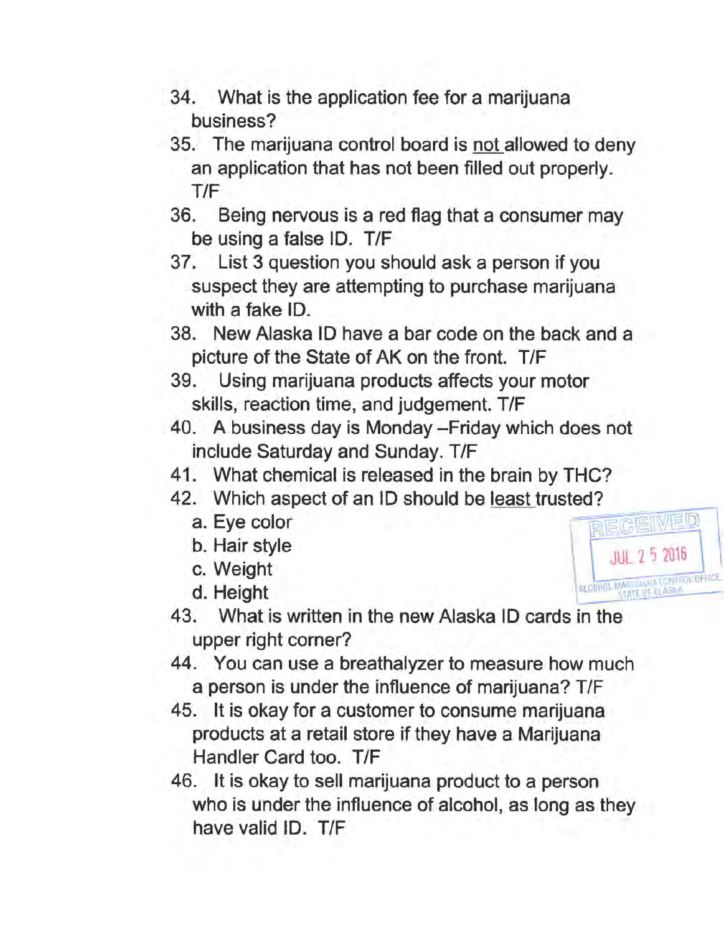- 34. What is the application fee for a marijuana business?
- 35. The marijuana control board is not allowed to deny an application that has not been filled out properly. T/F
- 36. Being nervous is a red flag that a consumer may be using a false ID. T/F
- 37. List 3 question you should ask a person if you suspect they are attempting to purchase marijuana with a fake ID.
- 38. New Alaska ID have a bar code on the back and a picture of the State of AK on the front. T/F
- 39. Using marijuana products affects your motor skills, reaction time, and judgement. T/F
- 40. A business day is Monday-Friday which does not include Saturday and Sunday. T/F
- 41. What chemical is released in the brain by THC?
- 42. Which aspect of an ID should be <u>least</u> trusted?<br>a. Eye color
	- a. Eye color  $\blacksquare$   $\blacksquare$   $\blacksquare$   $\blacksquare$   $\blacksquare$   $\blacksquare$   $\blacksquare$   $\blacksquare$   $\blacksquare$   $\blacksquare$   $\blacksquare$   $\blacksquare$   $\blacksquare$   $\blacksquare$   $\blacksquare$   $\blacksquare$   $\blacksquare$   $\blacksquare$   $\blacksquare$   $\blacksquare$   $\blacksquare$   $\blacksquare$   $\blacksquare$   $\blacksquare$   $\blacksquare$   $\blacksquare$   $\blacksquare$   $\blacksquare$   $\blacksquare$   $\blacksquare$
	-
	- b. Hai~ style \ '""" JUL. 2 5 2016
	- $d. Height$
- 43. What is written in the new Alaska ID cards in the upper right corner?
- 44. You can use a breathalyzer to measure how much a person is under the influence of marijuana? T/F
- 45. It is okay for a customer to consume marijuana products at a retail store if they have a Marijuana Handler Card too. T/F
- 46. It is okay to sell marijuana product to a person who is under the influence of alcohol, as long as they have valid ID. T/F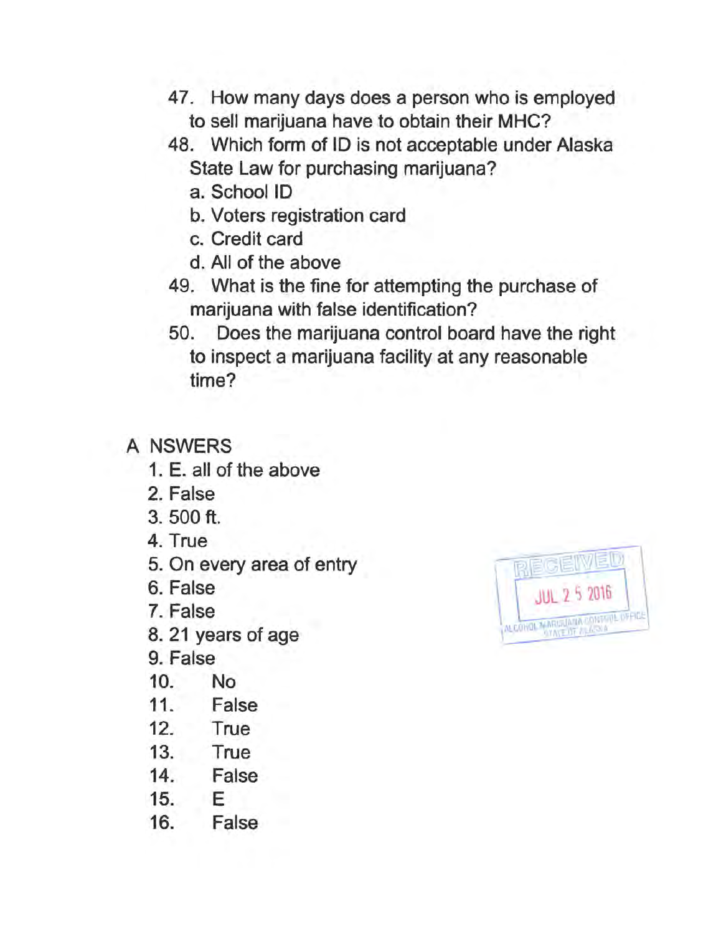- 47. How many days does a person who is employed to sell marijuana have to obtain their MHC?
- 48. Which form of ID is not acceptable under Alaska State Law for purchasing marijuana?
	- a. School ID
	- b. Voters registration card
	- c. Credit card
	- d. All of the above
- 49. What is the fine for attempting the purchase of marijuana with false identification?
- 50. Does the marijuana control board have the right to inspect a marijuana facility at any reasonable time?

### **A NSWERS**

- 1. E. all of the above
- 2. False
- 3. 500 ft.
- 4. True
- 5. On every area of entry
- 6. False
- 7. False
- 8. 21 years of age
- 9. False
- 10. No
- 11. False
- 12. True
- 13. True
- 14. False
- 15. E
- 16. False

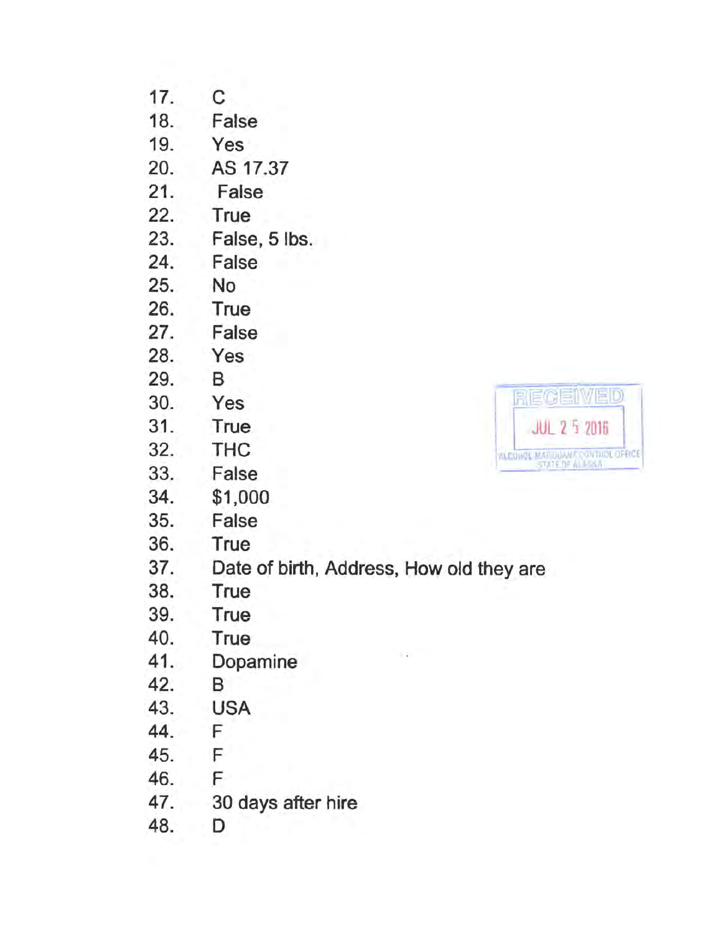- 17. C<br>18. Fa
- False
- 19. Yes
- 20. AS 17.37
- 21. False
- 22. True
- 23. False, 5 lbs.
- 24. False
- 25. No
- 26. True
- 27. False
- 28. Yes
- 29. B
- 
- 
- 
- 
- 
- 34. \$1,000
- 35. False
- 36. True
- 37. Date of birth, Address, How old they are
- 38. True
- 39. True
- 40. True
- 41. Dopamine
- 42. B
- 43. USA
- 44. F
- 45. F
- 46. F
- 47. 30 days after hire
- 48. D